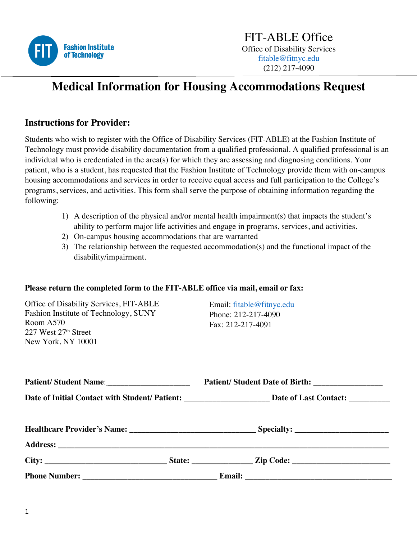

# **Medical Information for Housing Accommodations Request**

#### **Instructions for Provider:**

Students who wish to register with the Office of Disability Services (FIT-ABLE) at the Fashion Institute of Technology must provide disability documentation from a qualified professional. A qualified professional is an individual who is credentialed in the area(s) for which they are assessing and diagnosing conditions. Your patient, who is a student, has requested that the Fashion Institute of Technology provide them with on-campus housing accommodations and services in order to receive equal access and full participation to the College's programs, services, and activities. This form shall serve the purpose of obtaining information regarding the following:

- 1) A description of the physical and/or mental health impairment(s) that impacts the student's ability to perform major life activities and engage in programs, services, and activities.
- 2) On-campus housing accommodations that are warranted
- 3) The relationship between the requested accommodation(s) and the functional impact of the disability/impairment.

#### **Please return the completed form to the FIT-ABLE office via mail, email or fax:**

Office of Disability Services, FIT-ABLE Fashion Institute of Technology, SUNY Room A570 227 West 27th Street New York, NY 10001

Email: fitable@fitnyc.edu Phone: 212-217-4090 Fax: 212-217-4091

|  |  | Date of Initial Contact with Student/Patient: _________________________Date of Last Contact: _________________ |  |
|--|--|----------------------------------------------------------------------------------------------------------------|--|
|  |  |                                                                                                                |  |
|  |  |                                                                                                                |  |
|  |  |                                                                                                                |  |
|  |  |                                                                                                                |  |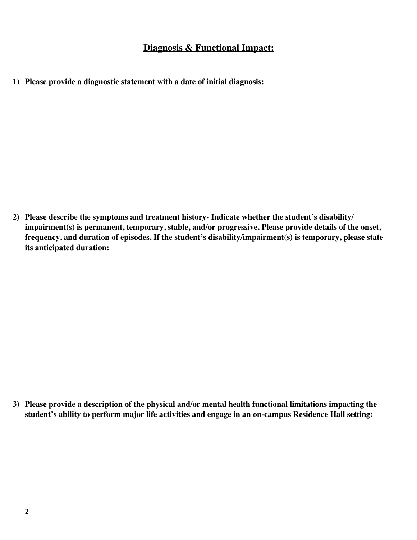#### **Diagnosis & Functional Impact:**

**1) Please provide a diagnostic statement with a date of initial diagnosis:** 

**2) Please describe the symptoms and treatment history- Indicate whether the student's disability/ impairment(s) is permanent, temporary, stable, and/or progressive. Please provide details of the onset, frequency, and duration of episodes. If the student's disability/impairment(s) is temporary, please state its anticipated duration:**

**3) Please provide a description of the physical and/or mental health functional limitations impacting the student's ability to perform major life activities and engage in an on-campus Residence Hall setting:**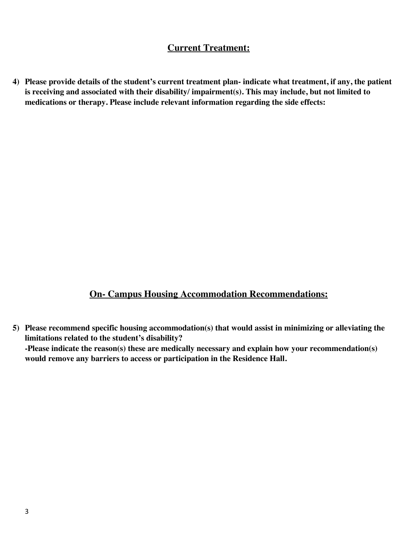## **Current Treatment:**

**4) Please provide details of the student's current treatment plan- indicate what treatment, if any, the patient is receiving and associated with their disability/ impairment(s). This may include, but not limited to medications or therapy. Please include relevant information regarding the side effects:**

### **On- Campus Housing Accommodation Recommendations:**

**5) Please recommend specific housing accommodation(s) that would assist in minimizing or alleviating the limitations related to the student's disability? -Please indicate the reason(s) these are medically necessary and explain how your recommendation(s) would remove any barriers to access or participation in the Residence Hall.**